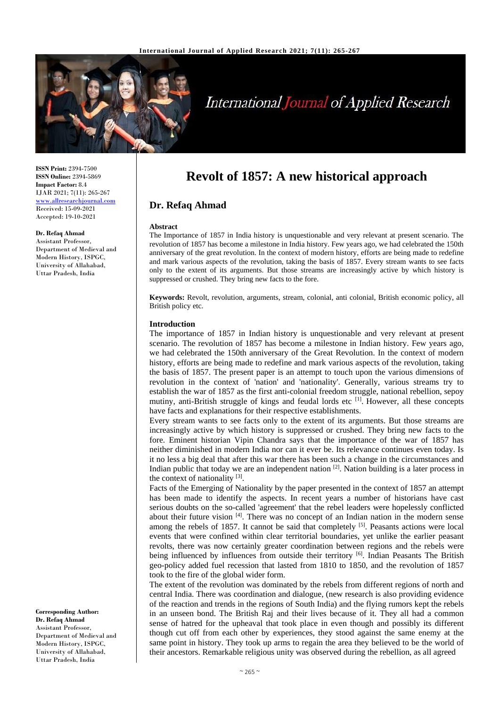

# **International Journal of Applied Research**

**ISSN Print:** 2394-7500 **ISSN Online:** 2394-5869 **Impact Factor:** 8.4 IJAR 2021; 7(11): 265-267 <www.allresearchjournal.com> Received: 15-09-2021 Accepted: 19-10-2021

**Dr. Refaq Ahmad** Assistant Professor, Department of Medieval and Modern History, ISPGC, University of Allahabad, Uttar Pradesh, India

**Corresponding Author: Dr. Refaq Ahmad** Assistant Professor, Department of Medieval and Modern History, ISPGC, University of Allahabad, Uttar Pradesh, India

# **Revolt of 1857: A new historical approach**

## **Dr. Refaq Ahmad**

#### **Abstract**

The Importance of 1857 in India history is unquestionable and very relevant at present scenario. The revolution of 1857 has become a milestone in India history. Few years ago, we had celebrated the 150th anniversary of the great revolution. In the context of modern history, efforts are being made to redefine and mark various aspects of the revolution, taking the basis of 1857. Every stream wants to see facts only to the extent of its arguments. But those streams are increasingly active by which history is suppressed or crushed. They bring new facts to the fore.

**Keywords:** Revolt, revolution, arguments, stream, colonial, anti colonial, British economic policy, all British policy etc.

#### **Introduction**

The importance of 1857 in Indian history is unquestionable and very relevant at present scenario. The revolution of 1857 has become a milestone in Indian history. Few years ago, we had celebrated the 150th anniversary of the Great Revolution. In the context of modern history, efforts are being made to redefine and mark various aspects of the revolution, taking the basis of 1857. The present paper is an attempt to touch upon the various dimensions of revolution in the context of 'nation' and 'nationality'. Generally, various streams try to establish the war of 1857 as the first anti-colonial freedom struggle, national rebellion, sepoy mutiny, anti-British struggle of kings and feudal lords etc [1]. However, all these concepts have facts and explanations for their respective establishments.

Every stream wants to see facts only to the extent of its arguments. But those streams are increasingly active by which history is suppressed or crushed. They bring new facts to the fore. Eminent historian Vipin Chandra says that the importance of the war of 1857 has neither diminished in modern India nor can it ever be. Its relevance continues even today. Is it no less a big deal that after this war there has been such a change in the circumstances and Indian public that today we are an independent nation  $[2]$ . Nation building is a later process in the context of nationality  $[3]$ .

Facts of the Emerging of Nationality by the paper presented in the context of 1857 an attempt has been made to identify the aspects. In recent years a number of historians have cast serious doubts on the so-called 'agreement' that the rebel leaders were hopelessly conflicted about their future vision  $[4]$ . There was no concept of an Indian nation in the modern sense among the rebels of 1857. It cannot be said that completely <sup>[5]</sup>. Peasants actions were local events that were confined within clear territorial boundaries, yet unlike the earlier peasant revolts, there was now certainly greater coordination between regions and the rebels were being influenced by influences from outside their territory [6]. Indian Peasants The British geo-policy added fuel recession that lasted from 1810 to 1850, and the revolution of 1857 took to the fire of the global wider form.

The extent of the revolution was dominated by the rebels from different regions of north and central India. There was coordination and dialogue, (new research is also providing evidence of the reaction and trends in the regions of South India) and the flying rumors kept the rebels in an unseen bond. The British Raj and their lives because of it. They all had a common sense of hatred for the upheaval that took place in even though and possibly its different though cut off from each other by experiences, they stood against the same enemy at the same point in history. They took up arms to regain the area they believed to be the world of their ancestors. Remarkable religious unity was observed during the rebellion, as all agreed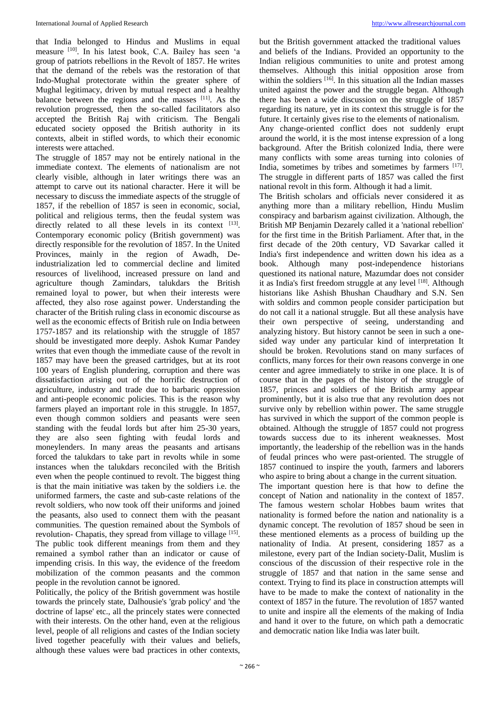that India belonged to Hindus and Muslims in equal measure [10]. In his latest book, C.A. Bailey has seen 'a group of patriots rebellions in the Revolt of 1857. He writes that the demand of the rebels was the restoration of that Indo-Mughal protectorate within the greater sphere of Mughal legitimacy, driven by mutual respect and a healthy balance between the regions and the masses [11]. As the revolution progressed, then the so-called facilitators also accepted the British Raj with criticism. The Bengali educated society opposed the British authority in its contexts, albeit in stifled words, to which their economic interests were attached.

The struggle of 1857 may not be entirely national in the immediate context. The elements of nationalism are not clearly visible, although in later writings there was an attempt to carve out its national character. Here it will be necessary to discuss the immediate aspects of the struggle of 1857, if the rebellion of 1857 is seen in economic, social, political and religious terms, then the feudal system was directly related to all these levels in its context [13]. Contemporary economic policy (British government) was directly responsible for the revolution of 1857. In the United Provinces, mainly in the region of Awadh, Deindustrialization led to commercial decline and limited resources of livelihood, increased pressure on land and agriculture though Zamindars, talukdars the British remained loyal to power, but when their interests were affected, they also rose against power. Understanding the character of the British ruling class in economic discourse as well as the economic effects of British rule on India between 1757-1857 and its relationship with the struggle of 1857 should be investigated more deeply. Ashok Kumar Pandey writes that even though the immediate cause of the revolt in 1857 may have been the greased cartridges, but at its root 100 years of English plundering, corruption and there was dissatisfaction arising out of the horrific destruction of agriculture, industry and trade due to barbaric oppression and anti-people economic policies. This is the reason why farmers played an important role in this struggle. In 1857, even though common soldiers and peasants were seen standing with the feudal lords but after him 25-30 years, they are also seen fighting with feudal lords and moneylenders. In many areas the peasants and artisans forced the talukdars to take part in revolts while in some instances when the talukdars reconciled with the British even when the people continued to revolt. The biggest thing is that the main initiative was taken by the soldiers i.e. the uniformed farmers, the caste and sub-caste relations of the revolt soldiers, who now took off their uniforms and joined the peasants, also used to connect them with the peasant communities. The question remained about the Symbols of revolution- Chapatis, they spread from village to village [15]. The public took different meanings from them and they remained a symbol rather than an indicator or cause of impending crisis. In this way, the evidence of the freedom mobilization of the common peasants and the common people in the revolution cannot be ignored.

Politically, the policy of the British government was hostile towards the princely state, Dalhousie's 'grab policy' and 'the doctrine of lapse' etc., all the princely states were connected with their interests. On the other hand, even at the religious level, people of all religions and castes of the Indian society lived together peacefully with their values and beliefs, although these values were bad practices in other contexts,

but the British government attacked the traditional values and beliefs of the Indians. Provided an opportunity to the Indian religious communities to unite and protest among themselves. Although this initial opposition arose from within the soldiers <sup>[16]</sup>. In this situation all the Indian masses united against the power and the struggle began. Although there has been a wide discussion on the struggle of 1857 regarding its nature, yet in its context this struggle is for the future. It certainly gives rise to the elements of nationalism.

Any change-oriented conflict does not suddenly erupt around the world, it is the most intense expression of a long background. After the British colonized India, there were many conflicts with some areas turning into colonies of India, sometimes by tribes and sometimes by farmers [17]. The struggle in different parts of 1857 was called the first national revolt in this form. Although it had a limit.

The British scholars and officials never considered it as anything more than a military rebellion, Hindu Muslim conspiracy and barbarism against civilization. Although, the British MP Benjamin Dezarely called it a 'national rebellion' for the first time in the British Parliament. After that, in the first decade of the 20th century, VD Savarkar called it India's first independence and written down his idea as a book. Although many post-independence historians questioned its national nature, Mazumdar does not consider it as India's first freedom struggle at any level [18]. Although historians like Ashish Bhushan Chaudhary and S.N. Sen with soldirs and common people consider participation but do not call it a national struggle. But all these analysis have their own perspective of seeing, understanding and analyzing history. But history cannot be seen in such a onesided way under any particular kind of interpretation It should be broken. Revolutions stand on many surfaces of conflicts, many forces for their own reasons converge in one center and agree immediately to strike in one place. It is of course that in the pages of the history of the struggle of 1857, princes and soldiers of the British army appear prominently, but it is also true that any revolution does not survive only by rebellion within power. The same struggle has survived in which the support of the common people is obtained. Although the struggle of 1857 could not progress towards success due to its inherent weaknesses. Most importantly, the leadership of the rebellion was in the hands of feudal princes who were past-oriented. The struggle of 1857 continued to inspire the youth, farmers and laborers who aspire to bring about a change in the current situation.

The important question here is that how to define the concept of Nation and nationality in the context of 1857. The famous western scholar Hobbes baum writes that nationality is formed before the nation and nationality is a dynamic concept. The revolution of 1857 shoud be seen in these mentioned elements as a process of building up the nationality of India. At present, considering 1857 as a milestone, every part of the Indian society-Dalit, Muslim is conscious of the discussion of their respective role in the struggle of 1857 and that nation in the same sense and context. Trying to find its place in construction attempts will have to be made to make the context of nationality in the context of 1857 in the future. The revolution of 1857 wanted to unite and inspire all the elements of the making of India and hand it over to the future, on which path a democratic and democratic nation like India was later built.